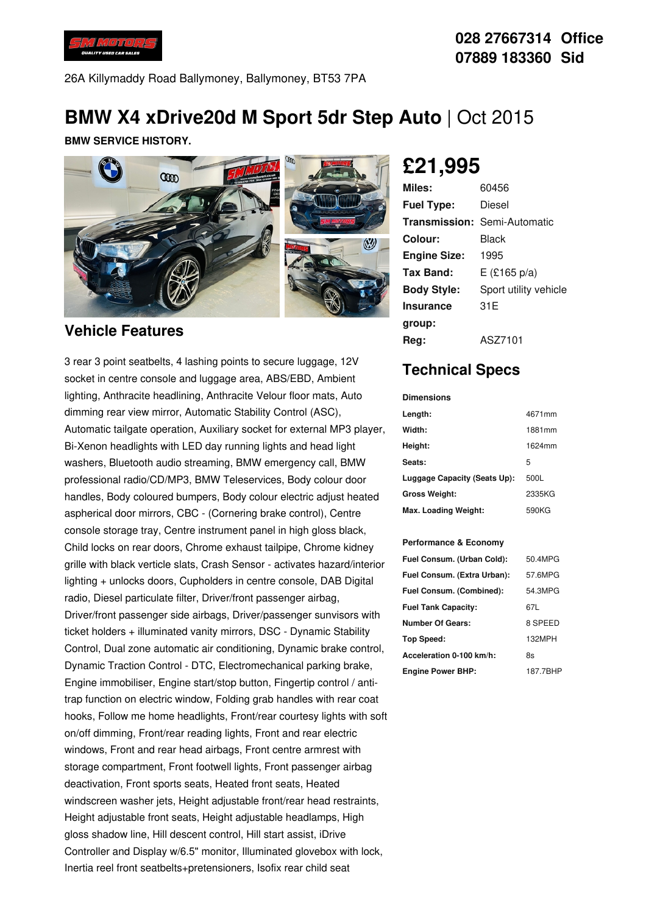

### **028 27667314 Office 07889 183360 Sid**

26A Killymaddy Road Ballymoney, Ballymoney, BT53 7PA

# **BMW X4 xDrive20d M Sport 5dr Step Auto** | Oct 2015

**BMW SERVICE HISTORY.**



#### **Vehicle Features**

3 rear 3 point seatbelts, 4 lashing points to secure luggage, 12V socket in centre console and luggage area, ABS/EBD, Ambient lighting, Anthracite headlining, Anthracite Velour floor mats, Auto dimming rear view mirror, Automatic Stability Control (ASC), Automatic tailgate operation, Auxiliary socket for external MP3 player, Bi-Xenon headlights with LED day running lights and head light washers, Bluetooth audio streaming, BMW emergency call, BMW professional radio/CD/MP3, BMW Teleservices, Body colour door handles, Body coloured bumpers, Body colour electric adjust heated aspherical door mirrors, CBC - (Cornering brake control), Centre console storage tray, Centre instrument panel in high gloss black, Child locks on rear doors, Chrome exhaust tailpipe, Chrome kidney grille with black verticle slats, Crash Sensor - activates hazard/interior lighting + unlocks doors, Cupholders in centre console, DAB Digital radio, Diesel particulate filter, Driver/front passenger airbag, Driver/front passenger side airbags, Driver/passenger sunvisors with ticket holders + illuminated vanity mirrors, DSC - Dynamic Stability Control, Dual zone automatic air conditioning, Dynamic brake control, Dynamic Traction Control - DTC, Electromechanical parking brake, Engine immobiliser, Engine start/stop button, Fingertip control / antitrap function on electric window, Folding grab handles with rear coat hooks, Follow me home headlights, Front/rear courtesy lights with soft on/off dimming, Front/rear reading lights, Front and rear electric windows, Front and rear head airbags, Front centre armrest with storage compartment, Front footwell lights, Front passenger airbag deactivation, Front sports seats, Heated front seats, Heated windscreen washer jets, Height adjustable front/rear head restraints, Height adjustable front seats, Height adjustable headlamps, High gloss shadow line, Hill descent control, Hill start assist, iDrive Controller and Display w/6.5" monitor, Illuminated glovebox with lock, Inertia reel front seatbelts+pretensioners, Isofix rear child seat

# **£21,995**

| Miles:              | 60456                               |
|---------------------|-------------------------------------|
| <b>Fuel Type:</b>   | Diesel                              |
|                     | <b>Transmission: Semi-Automatic</b> |
| Colour:             | Black                               |
| <b>Engine Size:</b> | 1995                                |
| <b>Tax Band:</b>    | $E$ (£165 p/a)                      |
| <b>Body Style:</b>  | Sport utility vehicle               |
| <b>Insurance</b>    | 31 E                                |
| group:              |                                     |
| Reg:                | ASZ7101                             |

## **Technical Specs**

| <b>Dimensions</b>            |        |
|------------------------------|--------|
| Length:                      | 4671mm |
| Width:                       | 1881mm |
| Height:                      | 1624mm |
| Seats:                       | 5      |
| Luggage Capacity (Seats Up): | 500L   |
| <b>Gross Weight:</b>         | 2335KG |
| Max. Loading Weight:         | 590KG  |

#### **Performance & Economy**

| Fuel Consum. (Urban Cold):  | 50.4MPG  |
|-----------------------------|----------|
| Fuel Consum. (Extra Urban): | 57.6MPG  |
| Fuel Consum. (Combined):    | 54.3MPG  |
| <b>Fuel Tank Capacity:</b>  | 67L      |
| <b>Number Of Gears:</b>     | 8 SPEED  |
| <b>Top Speed:</b>           | 132MPH   |
| Acceleration 0-100 km/h:    | 8s       |
| <b>Engine Power BHP:</b>    | 187.7BHP |